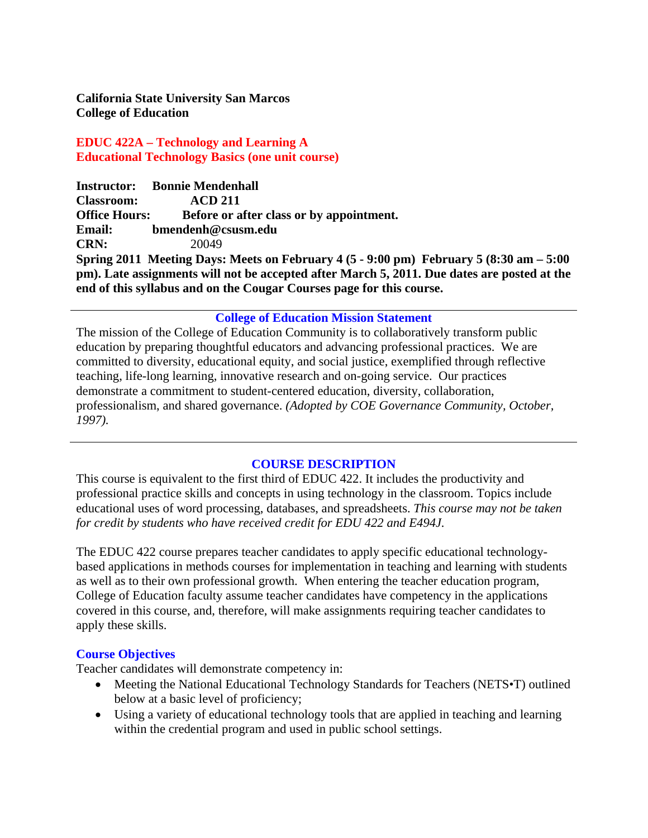**California State University San Marcos College of Education** 

## **EDUC 422A – Technology and Learning A Educational Technology Basics (one unit course)**

 **CRN:** 20049 **Instructor: Bonnie Mendenhall Classroom: ACD 211 Office Hours: Before or after class or by appointment. Email: bmendenh@csusm.edu Spring 2011 Meeting Days: Meets on February 4 (5 - 9:00 pm) February 5 (8:30 am – 5:00** 

**pm). Late assignments will not be accepted after March 5, 2011. Due dates are posted at the end of this syllabus and on the Cougar Courses page for this course.** 

### **College of Education Mission Statement**

The mission of the College of Education Community is to collaboratively transform public education by preparing thoughtful educators and advancing professional practices. We are committed to diversity, educational equity, and social justice, exemplified through reflective teaching, life-long learning, innovative research and on-going service. Our practices demonstrate a commitment to student-centered education, diversity, collaboration, professionalism, and shared governance. *(Adopted by COE Governance Community, October, 1997).* 

### **COURSE DESCRIPTION**

This course is equivalent to the first third of EDUC 422. It includes the productivity and professional practice skills and concepts in using technology in the classroom. Topics include educational uses of word processing, databases, and spreadsheets. *This course may not be taken for credit by students who have received credit for EDU 422 and E494J.* 

The EDUC 422 course prepares teacher candidates to apply specific educational technologybased applications in methods courses for implementation in teaching and learning with students as well as to their own professional growth. When entering the teacher education program, College of Education faculty assume teacher candidates have competency in the applications covered in this course, and, therefore, will make assignments requiring teacher candidates to apply these skills.

### **Course Objectives**

Teacher candidates will demonstrate competency in:

- Meeting the National Educational Technology Standards for Teachers (NETS•T) outlined below at a basic level of proficiency;
- Using a variety of educational technology tools that are applied in teaching and learning within the credential program and used in public school settings.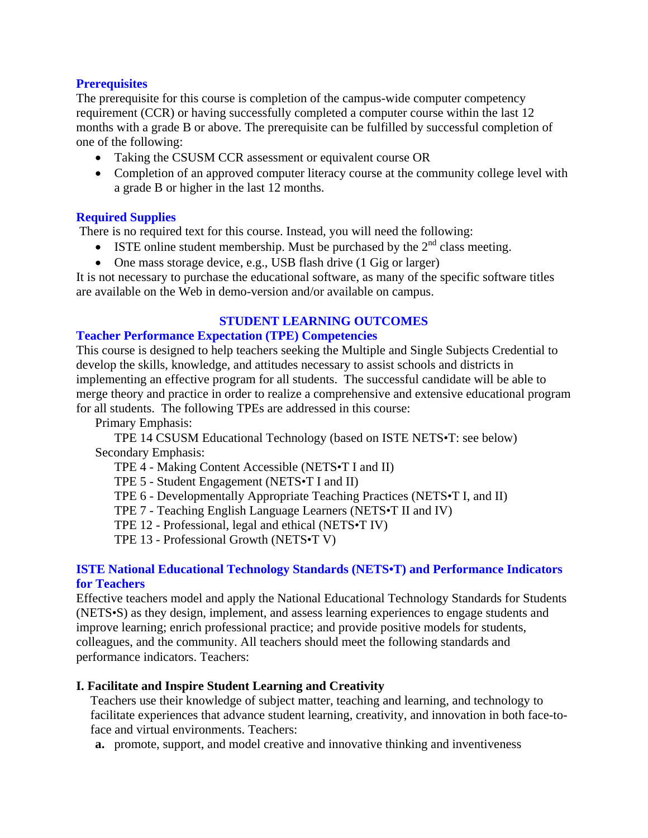### **Prerequisites**

The prerequisite for this course is completion of the campus-wide computer competency requirement (CCR) or having successfully completed a computer course within the last 12 months with a grade B or above. The prerequisite can be fulfilled by successful completion of one of the following:

- Taking the CSUSM CCR assessment or equivalent course OR
- Completion of an approved computer literacy course at the community college level with a grade B or higher in the last 12 months.

### **Required Supplies**

There is no required text for this course. Instead, you will need the following:

- ISTE online student membership. Must be purchased by the  $2<sup>nd</sup>$  class meeting.
- One mass storage device, e.g., USB flash drive (1 Gig or larger)

It is not necessary to purchase the educational software, as many of the specific software titles are available on the Web in demo-version and/or available on campus.

### **STUDENT LEARNING OUTCOMES**

### **Teacher Performance Expectation (TPE) Competencies**

This course is designed to help teachers seeking the Multiple and Single Subjects Credential to develop the skills, knowledge, and attitudes necessary to assist schools and districts in implementing an effective program for all students. The successful candidate will be able to merge theory and practice in order to realize a comprehensive and extensive educational program for all students. The following TPEs are addressed in this course:

Primary Emphasis:

TPE 14 CSUSM Educational Technology (based on ISTE NETS•T: see below) Secondary Emphasis:

TPE 4 - Making Content Accessible (NETS•T I and II)

TPE 5 - Student Engagement (NETS•T I and II)

TPE 6 - Developmentally Appropriate Teaching Practices (NETS•T I, and II)

TPE 7 - Teaching English Language Learners (NETS•T II and IV)

TPE 12 - Professional, legal and ethical (NETS•T IV)

TPE 13 - Professional Growth (NETS•T V)

### **ISTE National Educational Technology Standards (NETS•T) and Performance Indicators for Teachers**

Effective teachers model and apply the National Educational Technology Standards for Students (NETS•S) as they design, implement, and assess learning experiences to engage students and improve learning; enrich professional practice; and provide positive models for students, colleagues, and the community. All teachers should meet the following standards and performance indicators. Teachers:

### **I. Facilitate and Inspire Student Learning and Creativity**

Teachers use their knowledge of subject matter, teaching and learning, and technology to facilitate experiences that advance student learning, creativity, and innovation in both face-toface and virtual environments. Teachers:

**a.** promote, support, and model creative and innovative thinking and inventiveness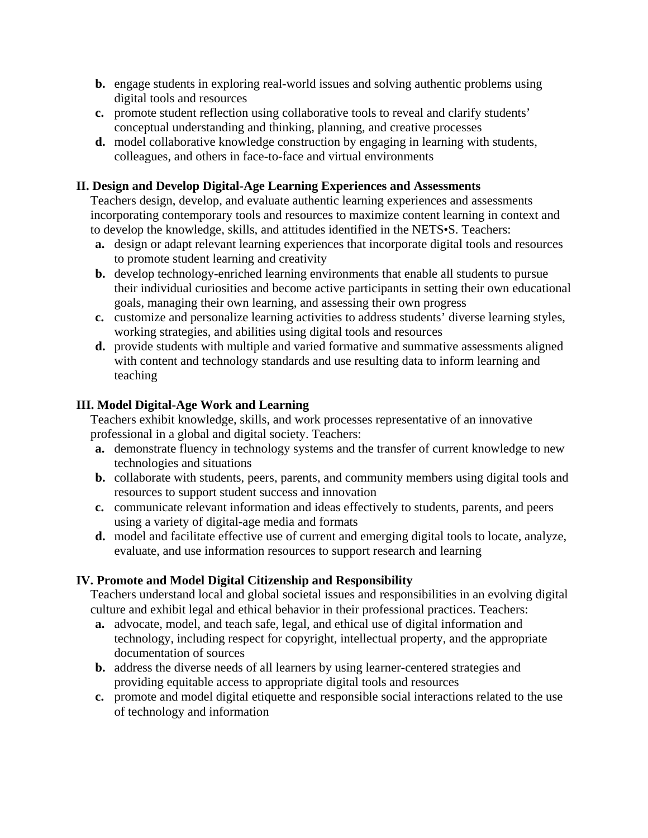- **b.** engage students in exploring real-world issues and solving authentic problems using digital tools and resources
- **c.** promote student reflection using collaborative tools to reveal and clarify students' conceptual understanding and thinking, planning, and creative processes
- **d.** model collaborative knowledge construction by engaging in learning with students, colleagues, and others in face-to-face and virtual environments

## **II. Design and Develop Digital-Age Learning Experiences and Assessments**

Teachers design, develop, and evaluate authentic learning experiences and assessments incorporating contemporary tools and resources to maximize content learning in context and to develop the knowledge, skills, and attitudes identified in the NETS•S. Teachers:

- **a.** design or adapt relevant learning experiences that incorporate digital tools and resources to promote student learning and creativity
- **b.** develop technology-enriched learning environments that enable all students to pursue their individual curiosities and become active participants in setting their own educational goals, managing their own learning, and assessing their own progress
- **c.** customize and personalize learning activities to address students' diverse learning styles, working strategies, and abilities using digital tools and resources
- **d.** provide students with multiple and varied formative and summative assessments aligned with content and technology standards and use resulting data to inform learning and teaching

## **III. Model Digital-Age Work and Learning**

Teachers exhibit knowledge, skills, and work processes representative of an innovative professional in a global and digital society. Teachers:

- **a.** demonstrate fluency in technology systems and the transfer of current knowledge to new technologies and situations
- **b.** collaborate with students, peers, parents, and community members using digital tools and resources to support student success and innovation
- **c.** communicate relevant information and ideas effectively to students, parents, and peers using a variety of digital-age media and formats
- d. model and facilitate effective use of current and emerging digital tools to locate, analyze, evaluate, and use information resources to support research and learning

## **IV. Promote and Model Digital Citizenship and Responsibility**

Teachers understand local and global societal issues and responsibilities in an evolving digital culture and exhibit legal and ethical behavior in their professional practices. Teachers:

- **a.** advocate, model, and teach safe, legal, and ethical use of digital information and technology, including respect for copyright, intellectual property, and the appropriate documentation of sources
- **b.** address the diverse needs of all learners by using learner-centered strategies and providing equitable access to appropriate digital tools and resources
- **c.** promote and model digital etiquette and responsible social interactions related to the use of technology and information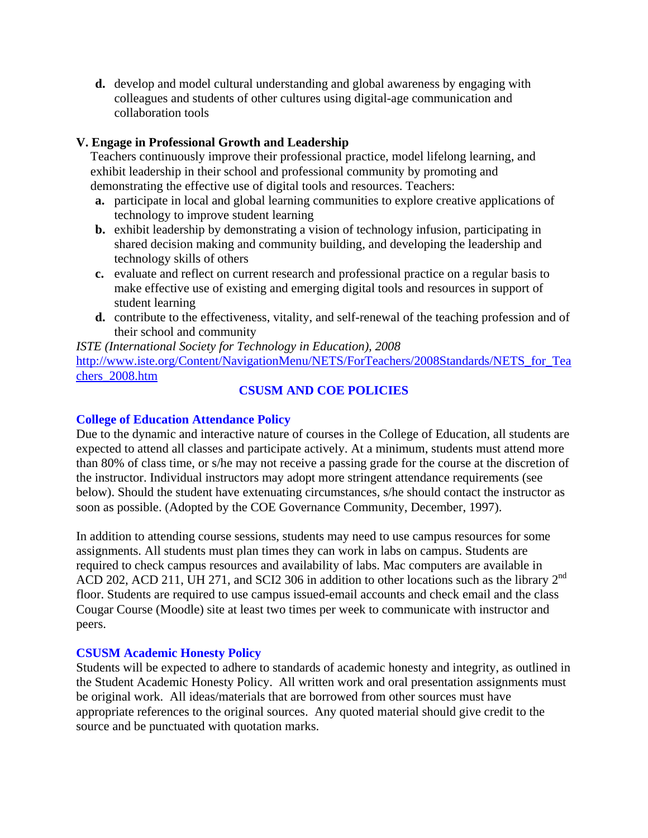**d.** develop and model cultural understanding and global awareness by engaging with colleagues and students of other cultures using digital-age communication and collaboration tools

## **V. Engage in Professional Growth and Leadership**

Teachers continuously improve their professional practice, model lifelong learning, and exhibit leadership in their school and professional community by promoting and demonstrating the effective use of digital tools and resources. Teachers:

- **a.** participate in local and global learning communities to explore creative applications of technology to improve student learning
- **b.** exhibit leadership by demonstrating a vision of technology infusion, participating in shared decision making and community building, and developing the leadership and technology skills of others
- **c.** evaluate and reflect on current research and professional practice on a regular basis to make effective use of existing and emerging digital tools and resources in support of student learning
- **d.** contribute to the effectiveness, vitality, and self-renewal of the teaching profession and of their school and community

*ISTE (International Society for Technology in Education), 2008*  http://www.iste.org/Content/NavigationMenu/NETS/ForTeachers/2008Standards/NETS\_for\_Tea chers\_2008.htm

# **CSUSM AND COE POLICIES**

## **College of Education Attendance Policy**

Due to the dynamic and interactive nature of courses in the College of Education, all students are expected to attend all classes and participate actively. At a minimum, students must attend more than 80% of class time, or s/he may not receive a passing grade for the course at the discretion of the instructor. Individual instructors may adopt more stringent attendance requirements (see below). Should the student have extenuating circumstances, s/he should contact the instructor as soon as possible. (Adopted by the COE Governance Community, December, 1997).

In addition to attending course sessions, students may need to use campus resources for some assignments. All students must plan times they can work in labs on campus. Students are required to check campus resources and availability of labs. Mac computers are available in ACD 202, ACD 211, UH 271, and SCI2 306 in addition to other locations such as the library 2<sup>nd</sup> floor. Students are required to use campus issued-email accounts and check email and the class Cougar Course (Moodle) site at least two times per week to communicate with instructor and peers.

## **CSUSM Academic Honesty Policy**

Students will be expected to adhere to standards of academic honesty and integrity, as outlined in the Student Academic Honesty Policy. All written work and oral presentation assignments must be original work. All ideas/materials that are borrowed from other sources must have appropriate references to the original sources. Any quoted material should give credit to the source and be punctuated with quotation marks.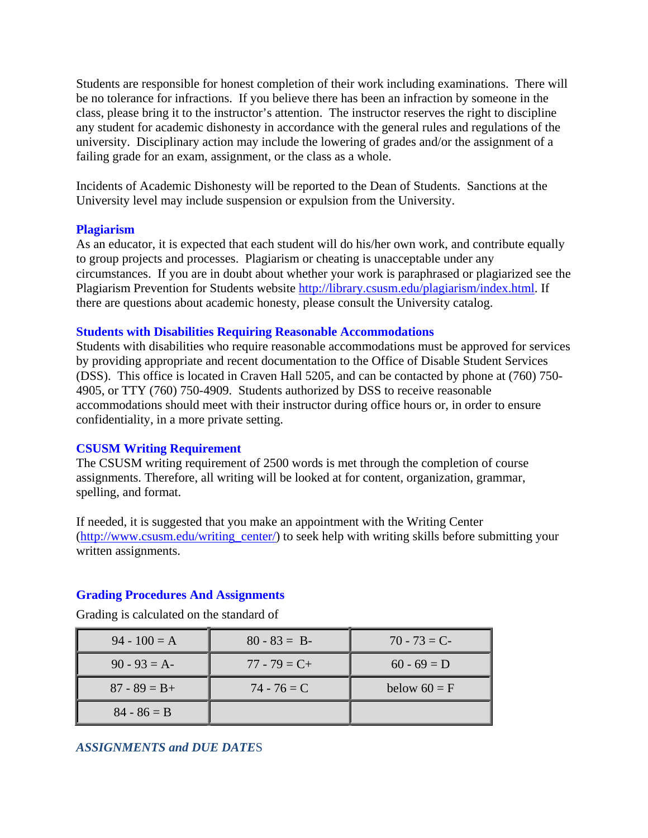Students are responsible for honest completion of their work including examinations. There will be no tolerance for infractions. If you believe there has been an infraction by someone in the class, please bring it to the instructor's attention. The instructor reserves the right to discipline any student for academic dishonesty in accordance with the general rules and regulations of the university. Disciplinary action may include the lowering of grades and/or the assignment of a failing grade for an exam, assignment, or the class as a whole.

Incidents of Academic Dishonesty will be reported to the Dean of Students. Sanctions at the University level may include suspension or expulsion from the University.

### **Plagiarism**

As an educator, it is expected that each student will do his/her own work, and contribute equally to group projects and processes. Plagiarism or cheating is unacceptable under any circumstances. If you are in doubt about whether your work is paraphrased or plagiarized see the Plagiarism Prevention for Students website http://library.csusm.edu/plagiarism/index.html. If there are questions about academic honesty, please consult the University catalog.

### **Students with Disabilities Requiring Reasonable Accommodations**

Students with disabilities who require reasonable accommodations must be approved for services by providing appropriate and recent documentation to the Office of Disable Student Services (DSS). This office is located in Craven Hall 5205, and can be contacted by phone at (760) 750- 4905, or TTY (760) 750-4909. Students authorized by DSS to receive reasonable accommodations should meet with their instructor during office hours or, in order to ensure confidentiality, in a more private setting.

### **CSUSM Writing Requirement**

The CSUSM writing requirement of 2500 words is met through the completion of course assignments. Therefore, all writing will be looked at for content, organization, grammar, spelling, and format.

If needed, it is suggested that you make an appointment with the Writing Center (http://www.csusm.edu/writing\_center/) to seek help with writing skills before submitting your written assignments.

### **Grading Procedures And Assignments**

| $94 - 100 = A$  | $80 - 83 = B$   | $70 - 73 = C$  |
|-----------------|-----------------|----------------|
| $90 - 93 = A$   | $77 - 79 = C +$ | $60 - 69 = D$  |
| $87 - 89 = B +$ | $74 - 76 = C$   | below $60 = F$ |
| $84 - 86 = B$   |                 |                |

Grading is calculated on the standard of

*ASSIGNMENTS and DUE DATE*S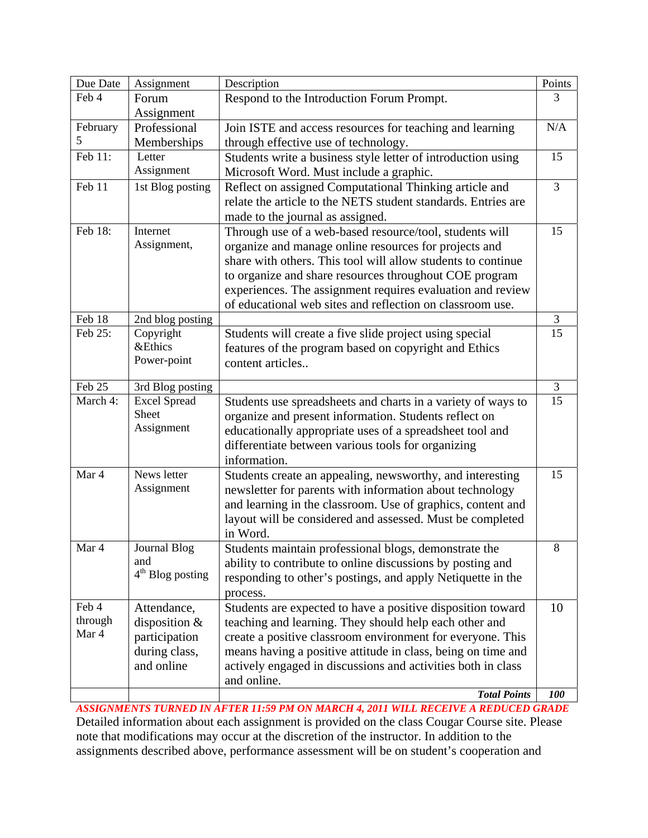| Due Date | Assignment                   | Description                                                   | Points         |
|----------|------------------------------|---------------------------------------------------------------|----------------|
| Feb 4    | Forum                        | Respond to the Introduction Forum Prompt.                     | $\mathcal{R}$  |
|          | Assignment                   |                                                               |                |
| February | Professional                 | Join ISTE and access resources for teaching and learning      | N/A            |
| 5        | Memberships                  | through effective use of technology.                          |                |
| Feb 11:  | Letter                       | Students write a business style letter of introduction using  | 15             |
|          | Assignment                   | Microsoft Word. Must include a graphic.                       |                |
| Feb 11   | 1st Blog posting             | Reflect on assigned Computational Thinking article and        | $\overline{3}$ |
|          |                              | relate the article to the NETS student standards. Entries are |                |
|          |                              | made to the journal as assigned.                              |                |
| Feb 18:  | Internet                     | Through use of a web-based resource/tool, students will       | 15             |
|          | Assignment,                  | organize and manage online resources for projects and         |                |
|          |                              | share with others. This tool will allow students to continue  |                |
|          |                              | to organize and share resources throughout COE program        |                |
|          |                              | experiences. The assignment requires evaluation and review    |                |
|          |                              | of educational web sites and reflection on classroom use.     |                |
| Feb 18   | 2nd blog posting             |                                                               | 3              |
| Feb 25:  | Copyright                    | Students will create a five slide project using special       | 15             |
|          | &Ethics                      | features of the program based on copyright and Ethics         |                |
|          | Power-point                  | content articles                                              |                |
|          |                              |                                                               |                |
| Feb 25   | 3rd Blog posting             |                                                               | $\mathfrak{Z}$ |
| March 4: | <b>Excel Spread</b>          | Students use spreadsheets and charts in a variety of ways to  | 15             |
|          | <b>Sheet</b>                 | organize and present information. Students reflect on         |                |
|          | Assignment                   | educationally appropriate uses of a spreadsheet tool and      |                |
|          |                              | differentiate between various tools for organizing            |                |
|          |                              | information.                                                  |                |
| Mar 4    | News letter                  | Students create an appealing, newsworthy, and interesting     | 15             |
|          | Assignment                   | newsletter for parents with information about technology      |                |
|          |                              | and learning in the classroom. Use of graphics, content and   |                |
|          |                              | layout will be considered and assessed. Must be completed     |                |
|          |                              | in Word.                                                      |                |
| Mar 4    | Journal Blog                 | Students maintain professional blogs, demonstrate the         | 8              |
|          | and                          | ability to contribute to online discussions by posting and    |                |
|          | 4 <sup>th</sup> Blog posting | responding to other's postings, and apply Netiquette in the   |                |
|          |                              | process.                                                      |                |
| Feb 4    | Attendance,                  | Students are expected to have a positive disposition toward   | 10             |
| through  | disposition $&$              | teaching and learning. They should help each other and        |                |
| Mar 4    | participation                | create a positive classroom environment for everyone. This    |                |
|          | during class,                | means having a positive attitude in class, being on time and  |                |
|          | and online                   | actively engaged in discussions and activities both in class  |                |
|          |                              | and online.                                                   |                |
|          |                              | <b>Total Points</b>                                           | 100            |

*ASSIGNMENTS TURNED IN AFTER 11:59 PM ON MARCH 4, 2011 WILL RECEIVE A REDUCED GRADE*  Detailed information about each assignment is provided on the class Cougar Course site. Please note that modifications may occur at the discretion of the instructor. In addition to the assignments described above, performance assessment will be on student's cooperation and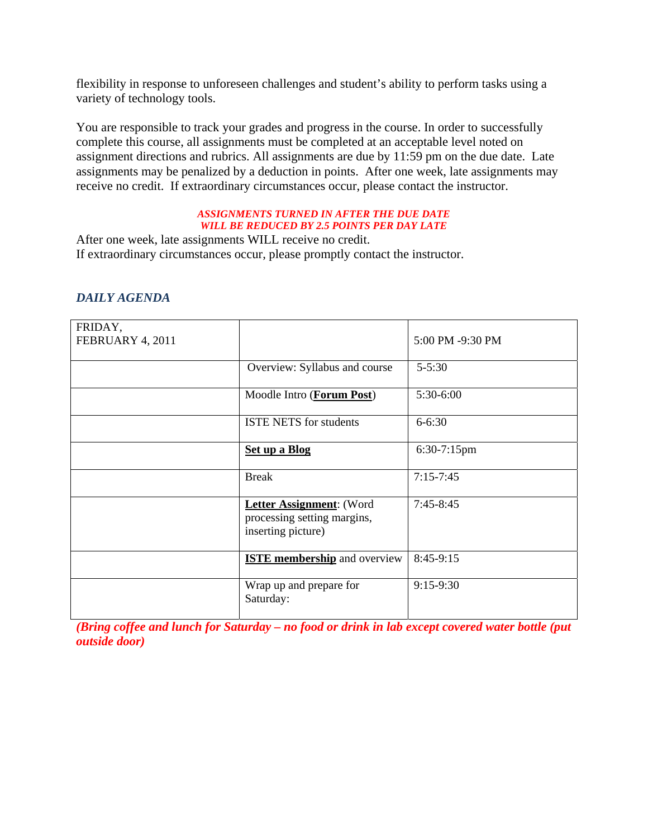flexibility in response to unforeseen challenges and student's ability to perform tasks using a variety of technology tools.

You are responsible to track your grades and progress in the course. In order to successfully complete this course, all assignments must be completed at an acceptable level noted on assignment directions and rubrics. All assignments are due by 11:59 pm on the due date. Late assignments may be penalized by a deduction in points. After one week, late assignments may receive no credit. If extraordinary circumstances occur, please contact the instructor.

#### *ASSIGNMENTS TURNED IN AFTER THE DUE DATE WILL BE REDUCED BY 2.5 POINTS PER DAY LATE*

After one week, late assignments WILL receive no credit. If extraordinary circumstances occur, please promptly contact the instructor.

| FRIDAY,<br>FEBRUARY 4, 2011 |                                                                               | 5:00 PM -9:30 PM |
|-----------------------------|-------------------------------------------------------------------------------|------------------|
|                             | Overview: Syllabus and course                                                 | $5 - 5:30$       |
|                             | Moodle Intro (Forum Post)                                                     | 5:30-6:00        |
|                             | <b>ISTE NETS</b> for students                                                 | $6 - 6:30$       |
|                             | <b>Set up a Blog</b>                                                          | $6:30-7:15$ pm   |
|                             | <b>Break</b>                                                                  | $7:15 - 7:45$    |
|                             | Letter Assignment: (Word<br>processing setting margins,<br>inserting picture) | $7:45-8:45$      |
|                             | <b>ISTE membership</b> and overview                                           | 8:45-9:15        |
|                             | Wrap up and prepare for<br>Saturday:                                          | $9:15-9:30$      |

## *DAILY AGENDA*

*(Bring coffee and lunch for Saturday – no food or drink in lab except covered water bottle (put outside door)*